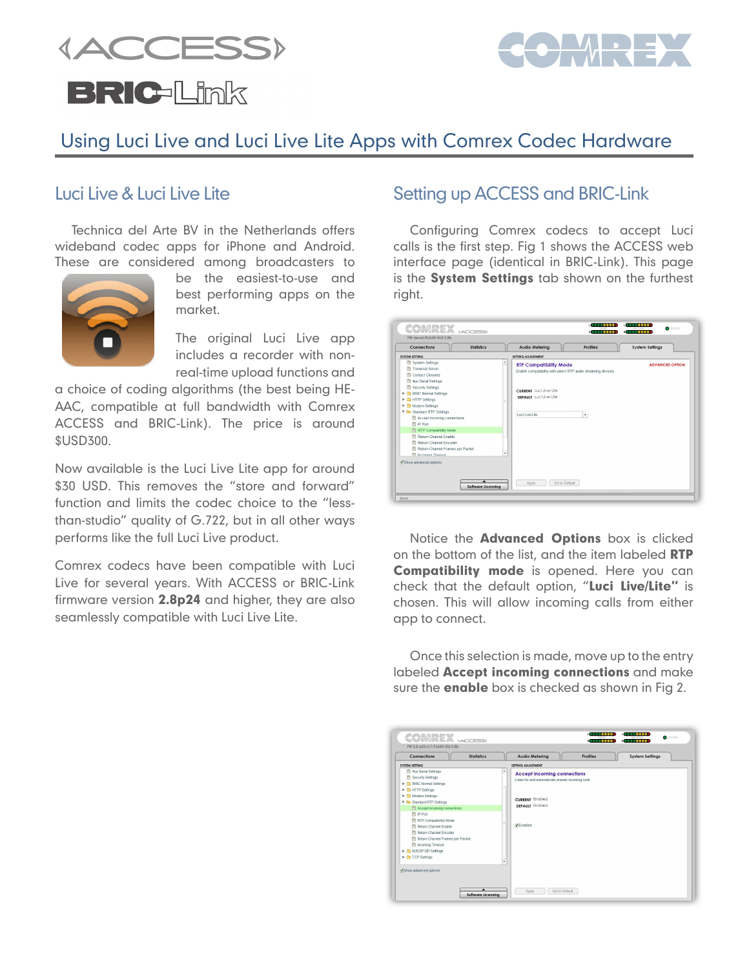**{ACCESS} BRIC-Link** 



# Using Luci Live and Luci Live Lite Apps with Comrex Codec Hardware

#### Luci Live & Luci Live Lite

Technica del Arte BV in the Netherlands offers wideband codec apps for iPhone and Android. These are considered among broadcasters to



be the easiest-to-use and best performing apps on the market.

The original Luci Live app includes a recorder with nonreal-time upload functions and

a choice of coding algorithms (the best being HE-AAC, compatible at full bandwidth with Comrex ACCESS and BRIC-Link). The price is around \$USD300.

Now available is the Luci Live Lite app for around \$30 USD. This removes the "store and forward" function and limits the codec choice to the "lessthan-studio" quality of G.722, but in all other ways performs like the full Luci Live product.

Comrex codecs have been compatible with Luci Live for several years. With ACCESS or BRIC-Link firmware version 2.8p24 and higher, they are also seamlessly compatible with Luci Live Lite.

### Setting up ACCESS and BRIC-Link

Configuring Comrex codecs to accept Luci calls is the first step. Fig 1 shows the ACCESS web interface page (identical in BRIC-Link). This page is the System Settings tab shown on the furthest right.

| Connections                                                                                                                                                                                                                                                                                                                                                                                                                                                                         | <b>Statistics</b> |        | Profiles<br>Audio Melering                                                                                                                                                            | System Sellings        |
|-------------------------------------------------------------------------------------------------------------------------------------------------------------------------------------------------------------------------------------------------------------------------------------------------------------------------------------------------------------------------------------------------------------------------------------------------------------------------------------|-------------------|--------|---------------------------------------------------------------------------------------------------------------------------------------------------------------------------------------|------------------------|
| <b>SYSTEM SETTING</b>                                                                                                                                                                                                                                                                                                                                                                                                                                                               |                   |        | SETTING ADJUSTMENT                                                                                                                                                                    |                        |
| System Settings<br>Traversal Server<br>Contact Closures<br>简<br>Aux Serial Settings<br>Security Settings<br><b>BRIC Normal Settings</b><br>≏<br>٠<br><b>HTTP Settings</b><br>r<br>m<br>Modem Settings<br>Þ.<br>≏<br>▼ & Standard RTP Settings<br>Accept incoming connections<br><sup>[1]</sup> IP Port<br>图 RTP Compatibility Mode<br>Return Channel Friable<br>图 Return Channel Encoder<br>Return Channel Frames per Packet<br><b>El Incoming Timeout</b><br>Show advanced options |                   | ٠<br>٠ | <b>RTP Compatibility Mode</b><br>Enable compatability with select RTP audio streaming devices<br><b>CURRENT</b> Luci Live/Lite<br>DEFAULT Luci Live/Lite<br>Luci Live/Lite<br>$\cdot$ | <b>ADVANCED OPTION</b> |

Notice the **Advanced Options** box is clicked on the bottom of the list, and the item labeled RTP **Compatibility mode** is opened. Here you can check that the default option, "Luci Live/Lite" is chosen. This will allow incoming calls from either app to connect.

Once this selection is made, move up to the entry labeled Accept incoming connections and make sure the **enable** box is checked as shown in Fig 2.

| Connections                                                                                                                                                                                                                                                                                                                                                                                                                                          | <b>Statistics</b> | <b>Audio Metering</b>                                                                                                                                                | <b>Profiles</b> | <b>System Settings</b> |
|------------------------------------------------------------------------------------------------------------------------------------------------------------------------------------------------------------------------------------------------------------------------------------------------------------------------------------------------------------------------------------------------------------------------------------------------------|-------------------|----------------------------------------------------------------------------------------------------------------------------------------------------------------------|-----------------|------------------------|
| SYSTEM SETTING                                                                                                                                                                                                                                                                                                                                                                                                                                       |                   | SETTING ADJUSTMENT                                                                                                                                                   |                 |                        |
| 图 Aux Serial Settings<br>Security Settings<br><b>E CI</b> BRIC Normal Settings<br>In THITP Settings<br>Modem Settings<br>V C Standard RTP Settings<br>Accept incoming connections<br>图 IP Port<br>RTP Compatibility Mode<br>图 Return Channel Enable<br>Return Channel Encoder<br>Return Channel Frames per Packet<br><b>Part Incoming Timeout</b><br>In MACIP SIP Settings<br>$\blacktriangleright$ $\uparrow$ TCP Settings<br>Show advanced options |                   | ٠<br><b>Accept incoming connections</b><br>Listen for and automatically answer incoming calls.<br><b>CURRENT</b> Enabled<br>DEFAULT Enabled<br><b>V</b> Enabled<br>٠ |                 |                        |